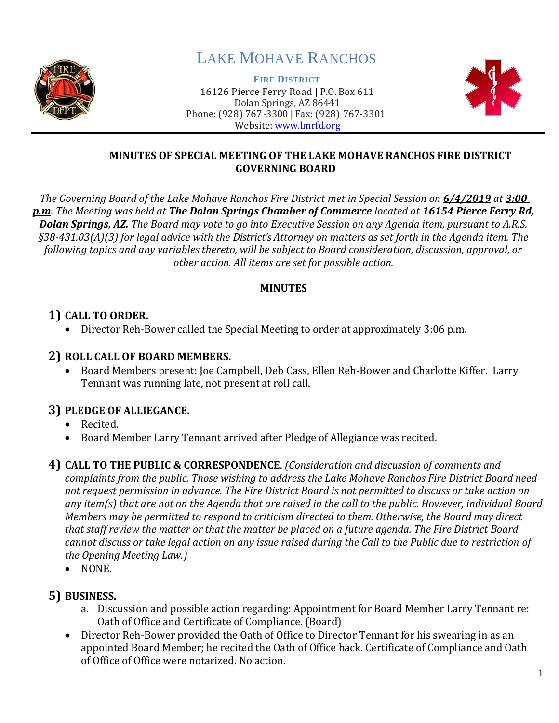

# LAKE MOHAVE RANCHOS

**FIRE DISTRICT**



#### 16126 Pierce Ferry Road | P.O. Box 611 Dolan Springs, AZ 86441 Phone: (928) 767-3300 | Fax: (928) 767-3301 Website: [www.lmrfd.org](http://www.lmrfd.org/)

#### **MINUTES OF SPECIAL MEETING OF THE LAKE MOHAVE RANCHOS FIRE DISTRICT GOVERNING BOARD**

*The Governing Board of the Lake Mohave Ranchos Fire District met in Special Session on 6/4/2019 at 3:00 p.m. The Meeting was held at The Dolan Springs Chamber of Commerce located at 16154 Pierce Ferry Rd, Dolan Springs, AZ. The Board may vote to go into Executive Session on any Agenda item, pursuant to A.R.S. §38-431.03(A)(3) for legal advice with the District's Attorney on matters as set forth in the Agenda item. The following topics and any variables thereto, will be subject to Board consideration, discussion, approval, or other action. All items are set for possible action.*

## **MINUTES**

# **1) CALL TO ORDER.**

• Director Reh-Bower called the Special Meeting to order at approximately 3:06 p.m.

## **2) ROLL CALL OF BOARD MEMBERS.**

• Board Members present: Joe Campbell, Deb Cass, Ellen Reh-Bower and Charlotte Kiffer. Larry Tennant was running late, not present at roll call.

# **3) PLEDGE OF ALLIEGANCE.**

- Recited.
- Board Member Larry Tennant arrived after Pledge of Allegiance was recited.

**4) CALL TO THE PUBLIC & CORRESPONDENCE**. *(Consideration and discussion of comments and complaints from the public. Those wishing to address the Lake Mohave Ranchos Fire District Board need not request permission in advance. The Fire District Board is not permitted to discuss or take action on any item(s) that are not on the Agenda that are raised in the call to the public. However, individual Board Members may be permitted to respond to criticism directed to them. Otherwise, the Board may direct that staff review the matter or that the matter be placed on a future agenda. The Fire District Board cannot discuss or take legal action on any issue raised during the Call to the Public due to restriction of the Opening Meeting Law.)*

• NONE.

# **5) BUSINESS.**

- a. Discussion and possible action regarding: Appointment for Board Member Larry Tennant re: Oath of Office and Certificate of Compliance. (Board)
- Director Reh-Bower provided the Oath of Office to Director Tennant for his swearing in as an appointed Board Member; he recited the Oath of Office back. Certificate of Compliance and Oath of Office of Office were notarized. No action.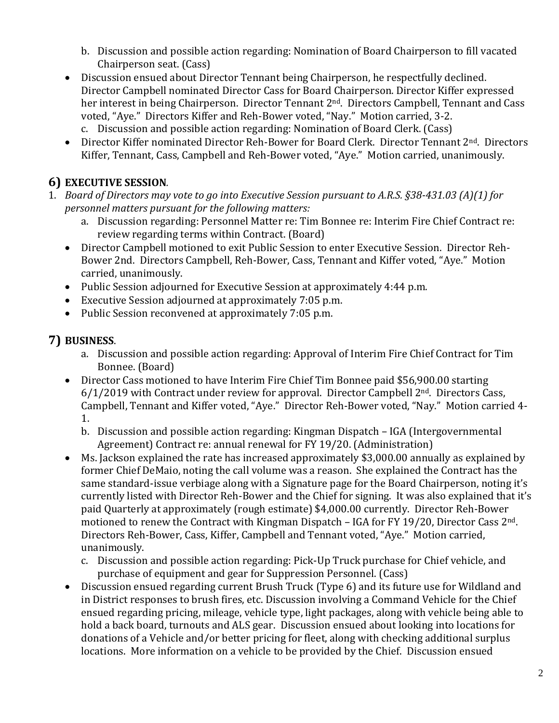- b. Discussion and possible action regarding: Nomination of Board Chairperson to fill vacated Chairperson seat. (Cass)
- Discussion ensued about Director Tennant being Chairperson, he respectfully declined. Director Campbell nominated Director Cass for Board Chairperson. Director Kiffer expressed her interest in being Chairperson. Director Tennant 2nd. Directors Campbell, Tennant and Cass voted, "Aye." Directors Kiffer and Reh-Bower voted, "Nay." Motion carried, 3-2.
	- c. Discussion and possible action regarding: Nomination of Board Clerk. (Cass)
- Director Kiffer nominated Director Reh-Bower for Board Clerk. Director Tennant 2<sup>nd</sup>. Directors Kiffer, Tennant, Cass, Campbell and Reh-Bower voted, "Aye." Motion carried, unanimously.

## **6) EXECUTIVE SESSION***.*

- 1. *Board of Directors may vote to go into Executive Session pursuant to A.R.S. §38-431.03 (A)(1) for personnel matters pursuant for the following matters:*
	- a. Discussion regarding: Personnel Matter re: Tim Bonnee re: Interim Fire Chief Contract re: review regarding terms within Contract. (Board)
	- Director Campbell motioned to exit Public Session to enter Executive Session. Director Reh-Bower 2nd. Directors Campbell, Reh-Bower, Cass, Tennant and Kiffer voted, "Aye." Motion carried, unanimously.
	- Public Session adjourned for Executive Session at approximately 4:44 p.m.
	- Executive Session adjourned at approximately 7:05 p.m.
	- Public Session reconvened at approximately 7:05 p.m.

# **7) BUSINESS**.

- a. Discussion and possible action regarding: Approval of Interim Fire Chief Contract for Tim Bonnee. (Board)
- Director Cass motioned to have Interim Fire Chief Tim Bonnee paid \$56,900.00 starting  $6/1/2019$  with Contract under review for approval. Director Campbell  $2<sup>nd</sup>$ . Directors Cass, Campbell, Tennant and Kiffer voted, "Aye." Director Reh-Bower voted, "Nay." Motion carried 4- 1.
	- b. Discussion and possible action regarding: Kingman Dispatch IGA (Intergovernmental Agreement) Contract re: annual renewal for FY 19/20. (Administration)
- Ms. Jackson explained the rate has increased approximately \$3,000.00 annually as explained by former Chief DeMaio, noting the call volume was a reason. She explained the Contract has the same standard-issue verbiage along with a Signature page for the Board Chairperson, noting it's currently listed with Director Reh-Bower and the Chief for signing. It was also explained that it's paid Quarterly at approximately (rough estimate) \$4,000.00 currently. Director Reh-Bower motioned to renew the Contract with Kingman Dispatch – IGA for FY 19/20, Director Cass 2nd. Directors Reh-Bower, Cass, Kiffer, Campbell and Tennant voted, "Aye." Motion carried, unanimously.
	- c. Discussion and possible action regarding: Pick-Up Truck purchase for Chief vehicle, and purchase of equipment and gear for Suppression Personnel. (Cass)
- Discussion ensued regarding current Brush Truck (Type 6) and its future use for Wildland and in District responses to brush fires, etc. Discussion involving a Command Vehicle for the Chief ensued regarding pricing, mileage, vehicle type, light packages, along with vehicle being able to hold a back board, turnouts and ALS gear. Discussion ensued about looking into locations for donations of a Vehicle and/or better pricing for fleet, along with checking additional surplus locations. More information on a vehicle to be provided by the Chief. Discussion ensued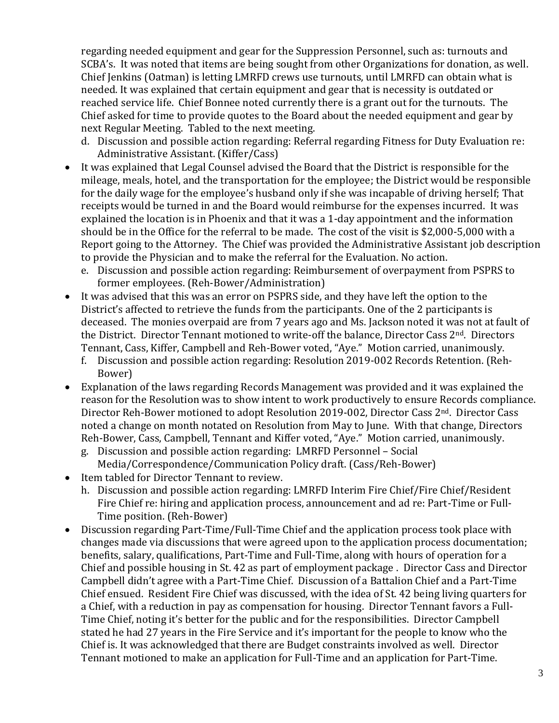regarding needed equipment and gear for the Suppression Personnel, such as: turnouts and SCBA's. It was noted that items are being sought from other Organizations for donation, as well. Chief Jenkins (Oatman) is letting LMRFD crews use turnouts, until LMRFD can obtain what is needed. It was explained that certain equipment and gear that is necessity is outdated or reached service life. Chief Bonnee noted currently there is a grant out for the turnouts. The Chief asked for time to provide quotes to the Board about the needed equipment and gear by next Regular Meeting. Tabled to the next meeting.

- d. Discussion and possible action regarding: Referral regarding Fitness for Duty Evaluation re: Administrative Assistant. (Kiffer/Cass)
- It was explained that Legal Counsel advised the Board that the District is responsible for the mileage, meals, hotel, and the transportation for the employee; the District would be responsible for the daily wage for the employee's husband only if she was incapable of driving herself; That receipts would be turned in and the Board would reimburse for the expenses incurred. It was explained the location is in Phoenix and that it was a 1-day appointment and the information should be in the Office for the referral to be made. The cost of the visit is \$2,000-5,000 with a Report going to the Attorney. The Chief was provided the Administrative Assistant job description to provide the Physician and to make the referral for the Evaluation. No action.
	- e. Discussion and possible action regarding: Reimbursement of overpayment from PSPRS to former employees. (Reh-Bower/Administration)
- It was advised that this was an error on PSPRS side, and they have left the option to the District's affected to retrieve the funds from the participants. One of the 2 participants is deceased. The monies overpaid are from 7 years ago and Ms. Jackson noted it was not at fault of the District. Director Tennant motioned to write-off the balance, Director Cass 2<sup>nd</sup>. Directors Tennant, Cass, Kiffer, Campbell and Reh-Bower voted, "Aye." Motion carried, unanimously.
	- f. Discussion and possible action regarding: Resolution 2019-002 Records Retention. (Reh-Bower)
- Explanation of the laws regarding Records Management was provided and it was explained the reason for the Resolution was to show intent to work productively to ensure Records compliance. Director Reh-Bower motioned to adopt Resolution 2019-002, Director Cass 2<sup>nd</sup>. Director Cass noted a change on month notated on Resolution from May to June. With that change, Directors Reh-Bower, Cass, Campbell, Tennant and Kiffer voted, "Aye." Motion carried, unanimously.
	- g. Discussion and possible action regarding: LMRFD Personnel Social Media/Correspondence/Communication Policy draft. (Cass/Reh-Bower)
- Item tabled for Director Tennant to review.
	- h. Discussion and possible action regarding: LMRFD Interim Fire Chief/Fire Chief/Resident Fire Chief re: hiring and application process, announcement and ad re: Part-Time or Full-Time position. (Reh-Bower)
- Discussion regarding Part-Time/Full-Time Chief and the application process took place with changes made via discussions that were agreed upon to the application process documentation; benefits, salary, qualifications, Part-Time and Full-Time, along with hours of operation for a Chief and possible housing in St. 42 as part of employment package . Director Cass and Director Campbell didn't agree with a Part-Time Chief. Discussion of a Battalion Chief and a Part-Time Chief ensued. Resident Fire Chief was discussed, with the idea of St. 42 being living quarters for a Chief, with a reduction in pay as compensation for housing. Director Tennant favors a Full-Time Chief, noting it's better for the public and for the responsibilities. Director Campbell stated he had 27 years in the Fire Service and it's important for the people to know who the Chief is. It was acknowledged that there are Budget constraints involved as well. Director Tennant motioned to make an application for Full-Time and an application for Part-Time.